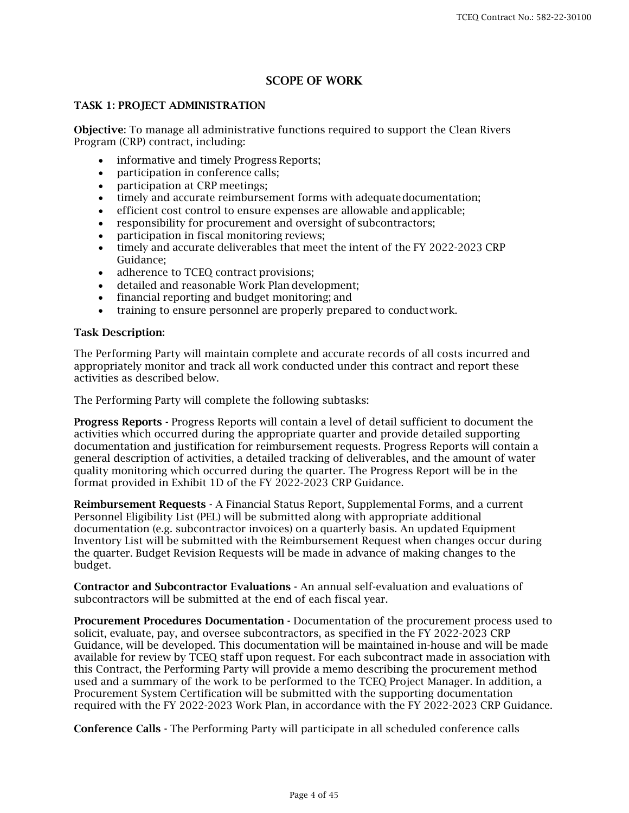# SCOPE OF WORK

### TASK 1: PROJECT ADMINISTRATION

Objective: To manage all administrative functions required to support the Clean Rivers Program (CRP) contract, including:

- informative and timely Progress Reports;
- participation in conference calls;
- participation at CRP meetings;
- timely and accurate reimbursement forms with adequate documentation;
- efficient cost control to ensure expenses are allowable andapplicable;
- responsibility for procurement and oversight of subcontractors:
- participation in fiscal monitoring reviews;
- timely and accurate deliverables that meet the intent of the FY 2022-2023 CRP Guidance;
- adherence to TCEQ contract provisions;
- detailed and reasonable Work Plan development;
- financial reporting and budget monitoring; and
- training to ensure personnel are properly prepared to conduct work.

#### Task Description:

The Performing Party will maintain complete and accurate records of all costs incurred and appropriately monitor and track all work conducted under this contract and report these activities as described below.

The Performing Party will complete the following subtasks:

Progress Reports - Progress Reports will contain a level of detail sufficient to document the activities which occurred during the appropriate quarter and provide detailed supporting documentation and justification for reimbursement requests. Progress Reports will contain a general description of activities, a detailed tracking of deliverables, and the amount of water quality monitoring which occurred during the quarter. The Progress Report will be in the format provided in Exhibit 1D of the FY 2022-2023 CRP Guidance.

Reimbursement Requests - A Financial Status Report, Supplemental Forms, and a current Personnel Eligibility List (PEL) will be submitted along with appropriate additional documentation (e.g. subcontractor invoices) on a quarterly basis. An updated Equipment Inventory List will be submitted with the Reimbursement Request when changes occur during the quarter. Budget Revision Requests will be made in advance of making changes to the budget.

Contractor and Subcontractor Evaluations - An annual self-evaluation and evaluations of subcontractors will be submitted at the end of each fiscal year.

Procurement Procedures Documentation - Documentation of the procurement process used to solicit, evaluate, pay, and oversee subcontractors, as specified in the FY 2022-2023 CRP Guidance, will be developed. This documentation will be maintained in-house and will be made available for review by TCEQ staff upon request. For each subcontract made in association with this Contract, the Performing Party will provide a memo describing the procurement method used and a summary of the work to be performed to the TCEQ Project Manager. In addition, a Procurement System Certification will be submitted with the supporting documentation required with the FY 2022-2023 Work Plan, in accordance with the FY 2022-2023 CRP Guidance.

Conference Calls - The Performing Party will participate in all scheduled conference calls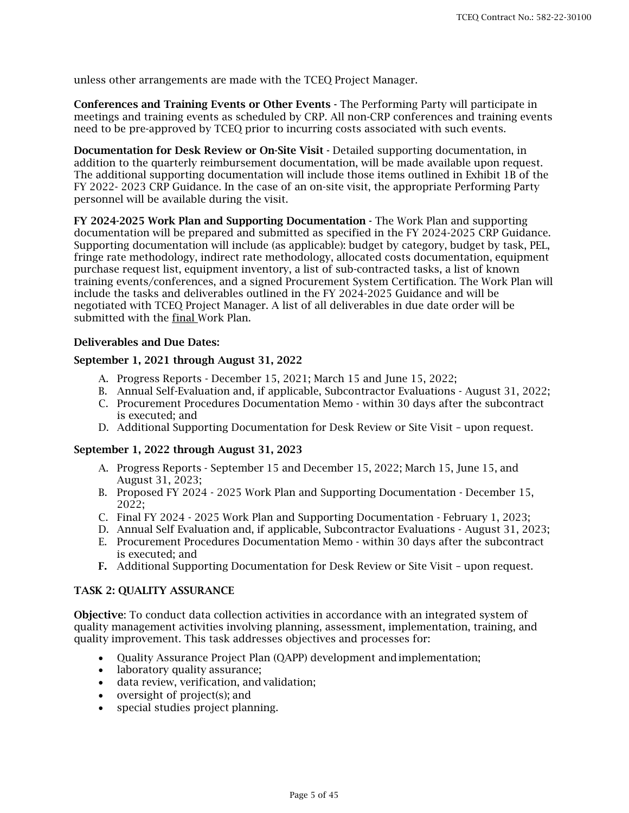unless other arrangements are made with the TCEQ Project Manager.

Conferences and Training Events or Other Events - The Performing Party will participate in meetings and training events as scheduled by CRP. All non-CRP conferences and training events need to be pre-approved by TCEQ prior to incurring costs associated with such events.

Documentation for Desk Review or On-Site Visit - Detailed supporting documentation, in addition to the quarterly reimbursement documentation, will be made available upon request. The additional supporting documentation will include those items outlined in Exhibit 1B of the FY 2022- 2023 CRP Guidance. In the case of an on-site visit, the appropriate Performing Party personnel will be available during the visit.

FY 2024-2025 Work Plan and Supporting Documentation - The Work Plan and supporting documentation will be prepared and submitted as specified in the FY 2024-2025 CRP Guidance. Supporting documentation will include (as applicable): budget by category, budget by task, PEL, fringe rate methodology, indirect rate methodology, allocated costs documentation, equipment purchase request list, equipment inventory, a list of sub-contracted tasks, a list of known training events/conferences, and a signed Procurement System Certification. The Work Plan will include the tasks and deliverables outlined in the FY 2024-2025 Guidance and will be negotiated with TCEQ Project Manager. A list of all deliverables in due date order will be submitted with the final Work Plan.

#### Deliverables and Due Dates:

#### September 1, 2021 through August 31, 2022

- A. Progress Reports December 15, 2021; March 15 and June 15, 2022;
- B. Annual Self-Evaluation and, if applicable, Subcontractor Evaluations August 31, 2022;
- C. Procurement Procedures Documentation Memo within 30 days after the subcontract is executed; and
- D. Additional Supporting Documentation for Desk Review or Site Visit upon request.

#### September 1, 2022 through August 31, 2023

- A. Progress Reports September 15 and December 15, 2022; March 15, June 15, and August 31, 2023;
- B. Proposed FY 2024 2025 Work Plan and Supporting Documentation December 15, 2022;
- C. Final FY 2024 2025 Work Plan and Supporting Documentation February 1, 2023;
- D. Annual Self Evaluation and, if applicable, Subcontractor Evaluations August 31, 2023;
- E. Procurement Procedures Documentation Memo within 30 days after the subcontract is executed; and
- F. Additional Supporting Documentation for Desk Review or Site Visit upon request.

#### TASK 2: QUALITY ASSURANCE

Objective: To conduct data collection activities in accordance with an integrated system of quality management activities involving planning, assessment, implementation, training, and quality improvement. This task addresses objectives and processes for:

- Quality Assurance Project Plan (QAPP) development andimplementation;
- laboratory quality assurance;
- data review, verification, and validation;
- oversight of project(s); and
- special studies project planning.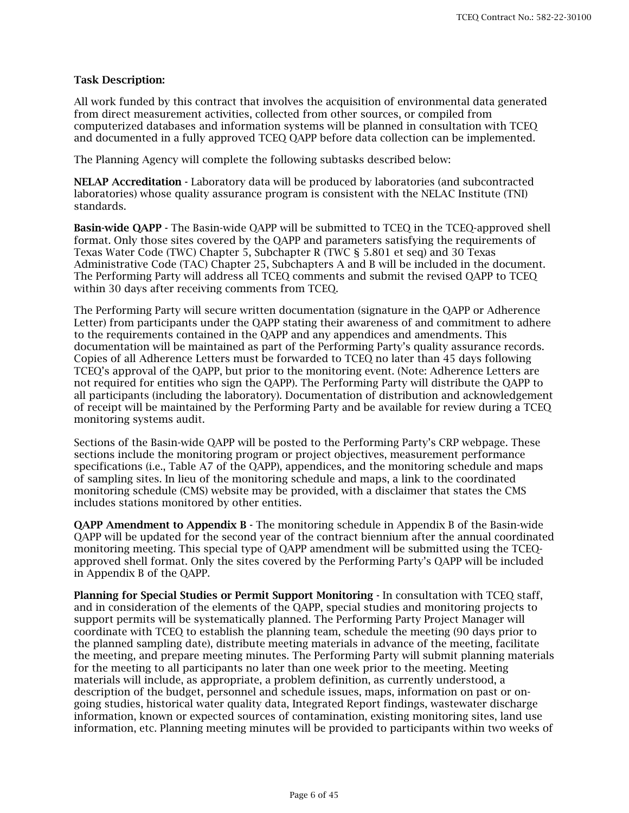### Task Description:

All work funded by this contract that involves the acquisition of environmental data generated from direct measurement activities, collected from other sources, or compiled from computerized databases and information systems will be planned in consultation with TCEQ and documented in a fully approved TCEQ QAPP before data collection can be implemented.

The Planning Agency will complete the following subtasks described below:

NELAP Accreditation - Laboratory data will be produced by laboratories (and subcontracted laboratories) whose quality assurance program is consistent with the NELAC Institute (TNI) standards.

Basin-wide QAPP - The Basin-wide QAPP will be submitted to TCEQ in the TCEQ-approved shell format. Only those sites covered by the QAPP and parameters satisfying the requirements of Texas Water Code (TWC) Chapter 5, Subchapter R (TWC § 5.801 et seq) and 30 Texas Administrative Code (TAC) Chapter 25, Subchapters A and B will be included in the document. The Performing Party will address all TCEQ comments and submit the revised QAPP to TCEQ within 30 days after receiving comments from TCEQ.

The Performing Party will secure written documentation (signature in the QAPP or Adherence Letter) from participants under the QAPP stating their awareness of and commitment to adhere to the requirements contained in the QAPP and any appendices and amendments. This documentation will be maintained as part of the Performing Party's quality assurance records. Copies of all Adherence Letters must be forwarded to TCEQ no later than 45 days following TCEQ's approval of the QAPP, but prior to the monitoring event. (Note: Adherence Letters are not required for entities who sign the QAPP). The Performing Party will distribute the QAPP to all participants (including the laboratory). Documentation of distribution and acknowledgement of receipt will be maintained by the Performing Party and be available for review during a TCEQ monitoring systems audit.

Sections of the Basin-wide QAPP will be posted to the Performing Party's CRP webpage. These sections include the monitoring program or project objectives, measurement performance specifications (i.e., Table A7 of the QAPP), appendices, and the monitoring schedule and maps of sampling sites. In lieu of the monitoring schedule and maps, a link to the coordinated monitoring schedule (CMS) website may be provided, with a disclaimer that states the CMS includes stations monitored by other entities.

QAPP Amendment to Appendix B - The monitoring schedule in Appendix B of the Basin-wide QAPP will be updated for the second year of the contract biennium after the annual coordinated monitoring meeting. This special type of QAPP amendment will be submitted using the TCEQapproved shell format. Only the sites covered by the Performing Party's QAPP will be included in Appendix B of the QAPP.

Planning for Special Studies or Permit Support Monitoring - In consultation with TCEQ staff, and in consideration of the elements of the QAPP, special studies and monitoring projects to support permits will be systematically planned. The Performing Party Project Manager will coordinate with TCEQ to establish the planning team, schedule the meeting (90 days prior to the planned sampling date), distribute meeting materials in advance of the meeting, facilitate the meeting, and prepare meeting minutes. The Performing Party will submit planning materials for the meeting to all participants no later than one week prior to the meeting. Meeting materials will include, as appropriate, a problem definition, as currently understood, a description of the budget, personnel and schedule issues, maps, information on past or ongoing studies, historical water quality data, Integrated Report findings, wastewater discharge information, known or expected sources of contamination, existing monitoring sites, land use information, etc. Planning meeting minutes will be provided to participants within two weeks of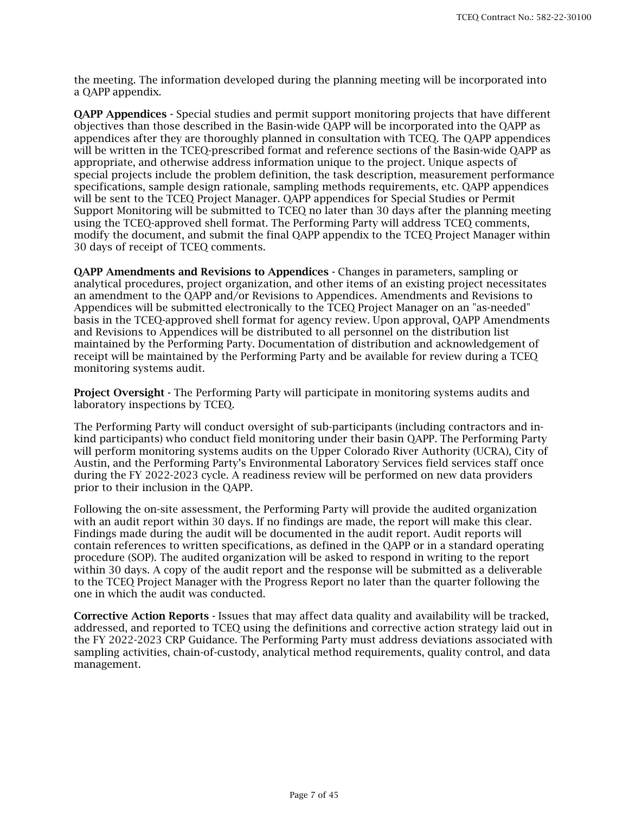the meeting. The information developed during the planning meeting will be incorporated into a QAPP appendix.

**OAPP Appendices -** Special studies and permit support monitoring projects that have different objectives than those described in the Basin-wide QAPP will be incorporated into the QAPP as appendices after they are thoroughly planned in consultation with TCEQ. The QAPP appendices will be written in the TCEQ-prescribed format and reference sections of the Basin-wide QAPP as appropriate, and otherwise address information unique to the project. Unique aspects of special projects include the problem definition, the task description, measurement performance specifications, sample design rationale, sampling methods requirements, etc. QAPP appendices will be sent to the TCEQ Project Manager. QAPP appendices for Special Studies or Permit Support Monitoring will be submitted to TCEQ no later than 30 days after the planning meeting using the TCEQ-approved shell format. The Performing Party will address TCEQ comments, modify the document, and submit the final QAPP appendix to the TCEQ Project Manager within 30 days of receipt of TCEQ comments.

QAPP Amendments and Revisions to Appendices - Changes in parameters, sampling or analytical procedures, project organization, and other items of an existing project necessitates an amendment to the QAPP and/or Revisions to Appendices. Amendments and Revisions to Appendices will be submitted electronically to the TCEQ Project Manager on an "as-needed" basis in the TCEQ-approved shell format for agency review. Upon approval, QAPP Amendments and Revisions to Appendices will be distributed to all personnel on the distribution list maintained by the Performing Party. Documentation of distribution and acknowledgement of receipt will be maintained by the Performing Party and be available for review during a TCEQ monitoring systems audit.

Project Oversight - The Performing Party will participate in monitoring systems audits and laboratory inspections by TCEQ.

The Performing Party will conduct oversight of sub-participants (including contractors and inkind participants) who conduct field monitoring under their basin QAPP. The Performing Party will perform monitoring systems audits on the Upper Colorado River Authority (UCRA), City of Austin, and the Performing Party's Environmental Laboratory Services field services staff once during the FY 2022-2023 cycle. A readiness review will be performed on new data providers prior to their inclusion in the QAPP.

Following the on-site assessment, the Performing Party will provide the audited organization with an audit report within 30 days. If no findings are made, the report will make this clear. Findings made during the audit will be documented in the audit report. Audit reports will contain references to written specifications, as defined in the QAPP or in a standard operating procedure (SOP). The audited organization will be asked to respond in writing to the report within 30 days. A copy of the audit report and the response will be submitted as a deliverable to the TCEQ Project Manager with the Progress Report no later than the quarter following the one in which the audit was conducted.

Corrective Action Reports - Issues that may affect data quality and availability will be tracked, addressed, and reported to TCEQ using the definitions and corrective action strategy laid out in the FY 2022-2023 CRP Guidance. The Performing Party must address deviations associated with sampling activities, chain-of-custody, analytical method requirements, quality control, and data management.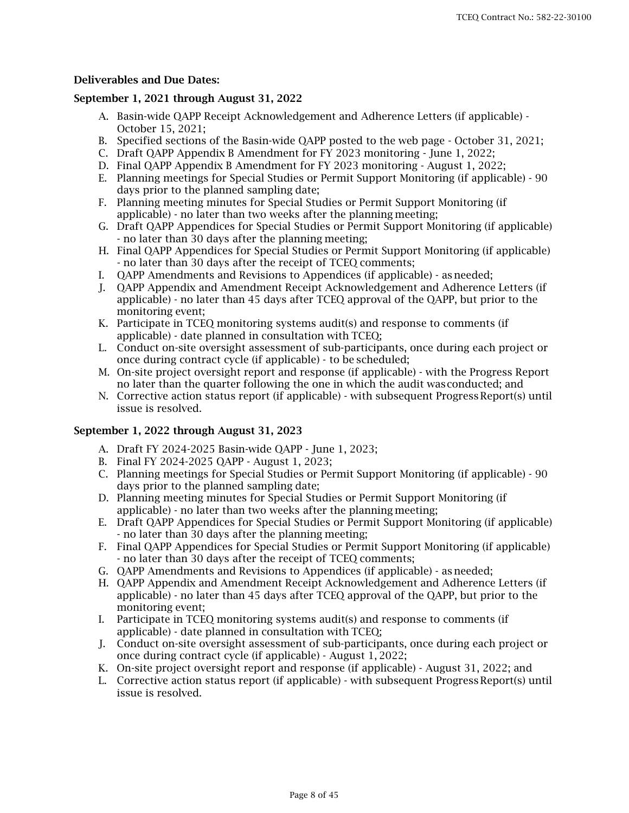### Deliverables and Due Dates:

### September 1, 2021 through August 31, 2022

- A. Basin-wide QAPP Receipt Acknowledgement and Adherence Letters (if applicable) October 15, 2021;
- B. Specified sections of the Basin-wide QAPP posted to the web page October 31, 2021;
- C. Draft QAPP Appendix B Amendment for FY 2023 monitoring June 1, 2022;
- D. Final QAPP Appendix B Amendment for FY 2023 monitoring August 1, 2022;
- E. Planning meetings for Special Studies or Permit Support Monitoring (if applicable) 90 days prior to the planned sampling date;
- F. Planning meeting minutes for Special Studies or Permit Support Monitoring (if applicable) - no later than two weeks after the planning meeting;
- G. Draft QAPP Appendices for Special Studies or Permit Support Monitoring (if applicable) - no later than 30 days after the planning meeting;
- H. Final QAPP Appendices for Special Studies or Permit Support Monitoring (if applicable) - no later than 30 days after the receipt of TCEQ comments;
- I. QAPP Amendments and Revisions to Appendices (if applicable) as needed;
- J. QAPP Appendix and Amendment Receipt Acknowledgement and Adherence Letters (if applicable) - no later than 45 days after TCEQ approval of the QAPP, but prior to the monitoring event;
- K. Participate in TCEQ monitoring systems audit(s) and response to comments (if applicable) - date planned in consultation with TCEQ;
- L. Conduct on-site oversight assessment of sub-participants, once during each project or once during contract cycle (if applicable) - to be scheduled;
- M. On-site project oversight report and response (if applicable) with the Progress Report no later than the quarter following the one in which the audit wasconducted; and
- N. Corrective action status report (if applicable) with subsequent Progress Report(s) until issue is resolved.

#### September 1, 2022 through August 31, 2023

- A. Draft FY 2024-2025 Basin-wide QAPP June 1, 2023;
- B. Final FY 2024-2025 QAPP August 1, 2023;
- C. Planning meetings for Special Studies or Permit Support Monitoring (if applicable) 90 days prior to the planned sampling date;
- D. Planning meeting minutes for Special Studies or Permit Support Monitoring (if applicable) - no later than two weeks after the planning meeting;
- E. Draft QAPP Appendices for Special Studies or Permit Support Monitoring (if applicable) - no later than 30 days after the planning meeting;
- F. Final QAPP Appendices for Special Studies or Permit Support Monitoring (if applicable) - no later than 30 days after the receipt of TCEQ comments;
- G. QAPP Amendments and Revisions to Appendices (if applicable) as needed;
- H. QAPP Appendix and Amendment Receipt Acknowledgement and Adherence Letters (if applicable) - no later than 45 days after TCEQ approval of the QAPP, but prior to the monitoring event;
- I. Participate in TCEQ monitoring systems audit(s) and response to comments (if applicable) - date planned in consultation with TCEQ;
- J. Conduct on-site oversight assessment of sub-participants, once during each project or once during contract cycle (if applicable) - August 1, 2022;
- K. On-site project oversight report and response (if applicable) August 31, 2022; and
- L. Corrective action status report (if applicable) with subsequent Progress Report(s) until issue is resolved.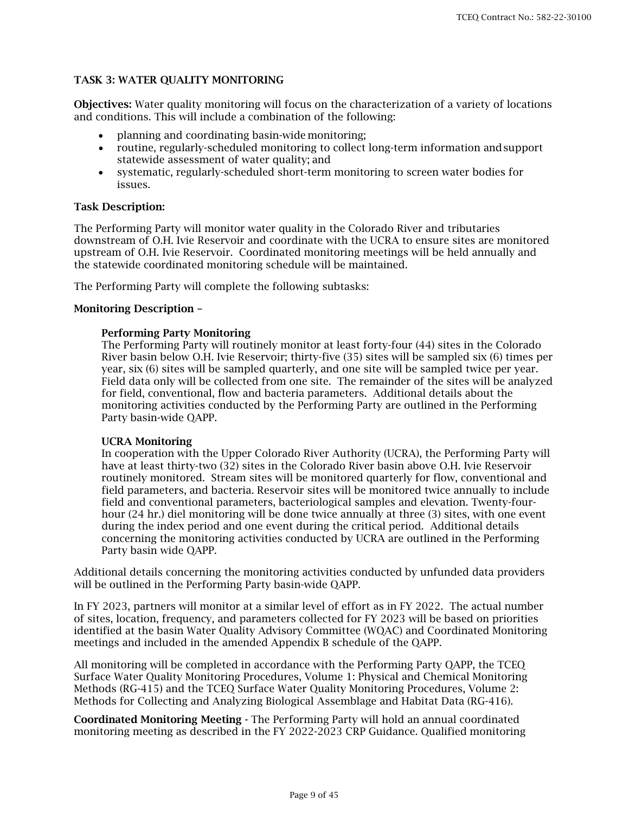## TASK 3: WATER QUALITY MONITORING

Objectives: Water quality monitoring will focus on the characterization of a variety of locations and conditions. This will include a combination of the following:

- planning and coordinating basin-wide monitoring;
- routine, regularly-scheduled monitoring to collect long-term information andsupport statewide assessment of water quality; and
- systematic, regularly-scheduled short-term monitoring to screen water bodies for issues.

### Task Description:

The Performing Party will monitor water quality in the Colorado River and tributaries downstream of O.H. Ivie Reservoir and coordinate with the UCRA to ensure sites are monitored upstream of O.H. Ivie Reservoir. Coordinated monitoring meetings will be held annually and the statewide coordinated monitoring schedule will be maintained.

The Performing Party will complete the following subtasks:

#### Monitoring Description –

### Performing Party Monitoring

The Performing Party will routinely monitor at least forty-four (44) sites in the Colorado River basin below O.H. Ivie Reservoir; thirty-five (35) sites will be sampled six (6) times per year, six (6) sites will be sampled quarterly, and one site will be sampled twice per year. Field data only will be collected from one site. The remainder of the sites will be analyzed for field, conventional, flow and bacteria parameters. Additional details about the monitoring activities conducted by the Performing Party are outlined in the Performing Party basin-wide QAPP.

#### UCRA Monitoring

In cooperation with the Upper Colorado River Authority (UCRA), the Performing Party will have at least thirty-two (32) sites in the Colorado River basin above O.H. Ivie Reservoir routinely monitored. Stream sites will be monitored quarterly for flow, conventional and field parameters, and bacteria. Reservoir sites will be monitored twice annually to include field and conventional parameters, bacteriological samples and elevation. Twenty-fourhour (24 hr.) diel monitoring will be done twice annually at three (3) sites, with one event during the index period and one event during the critical period. Additional details concerning the monitoring activities conducted by UCRA are outlined in the Performing Party basin wide QAPP.

Additional details concerning the monitoring activities conducted by unfunded data providers will be outlined in the Performing Party basin-wide QAPP.

In FY 2023, partners will monitor at a similar level of effort as in FY 2022. The actual number of sites, location, frequency, and parameters collected for FY 2023 will be based on priorities identified at the basin Water Quality Advisory Committee (WQAC) and Coordinated Monitoring meetings and included in the amended Appendix B schedule of the QAPP.

All monitoring will be completed in accordance with the Performing Party QAPP, the TCEQ Surface Water Quality Monitoring Procedures, Volume 1: Physical and Chemical Monitoring Methods (RG-415) and the TCEQ Surface Water Quality Monitoring Procedures, Volume 2: Methods for Collecting and Analyzing Biological Assemblage and Habitat Data (RG-416).

Coordinated Monitoring Meeting - The Performing Party will hold an annual coordinated monitoring meeting as described in the FY 2022-2023 CRP Guidance. Qualified monitoring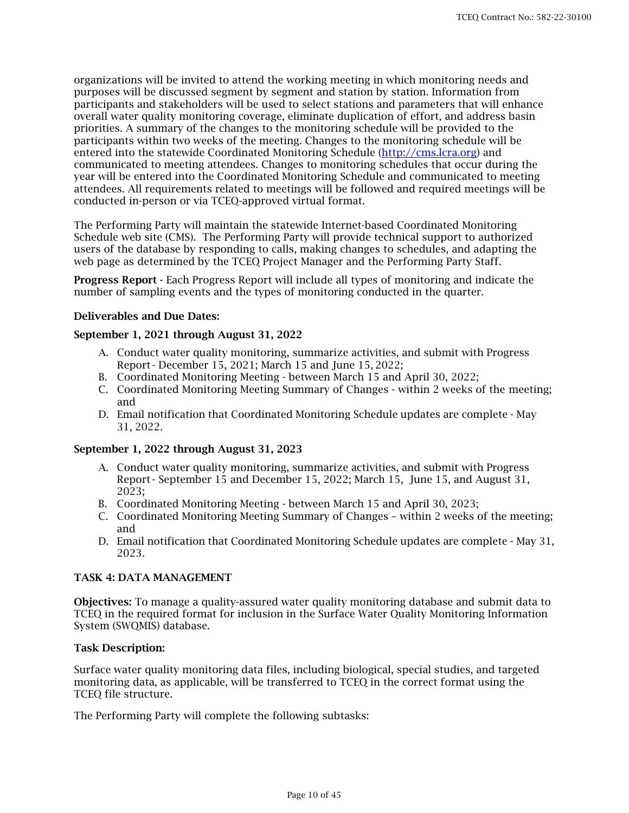organizations will be invited to attend the working meeting in which monitoring needs and purposes will be discussed segment by segment and station by station. Information from participants and stakeholders will be used to select stations and parameters that will enhance overall water quality monitoring coverage, eliminate duplication of effort, and address basin priorities. A summary of the changes to the monitoring schedule will be provided to the participants within two weeks of the meeting. Changes to the monitoring schedule will be entered into the statewide Coordinated Monitoring Schedule [\(http://cms.lcra.org\)](http://cms.lcra.org/) and communicated to meeting attendees. Changes to monitoring schedules that occur during the year will be entered into the Coordinated Monitoring Schedule and communicated to meeting attendees. All requirements related to meetings will be followed and required meetings will be conducted in-person or via TCEQ-approved virtual format.

The Performing Party will maintain the statewide Internet-based Coordinated Monitoring Schedule web site (CMS). The Performing Party will provide technical support to authorized users of the database by responding to calls, making changes to schedules, and adapting the web page as determined by the TCEQ Project Manager and the Performing Party Staff.

Progress Report - Each Progress Report will include all types of monitoring and indicate the number of sampling events and the types of monitoring conducted in the quarter.

### Deliverables and Due Dates:

#### September 1, 2021 through August 31, 2022

- A. Conduct water quality monitoring, summarize activities, and submit with Progress Report - December 15, 2021; March 15 and June 15, 2022;
- B. Coordinated Monitoring Meeting between March 15 and April 30, 2022;
- C. Coordinated Monitoring Meeting Summary of Changes within 2 weeks of the meeting; and
- D. Email notification that Coordinated Monitoring Schedule updates are complete May 31, 2022.

#### September 1, 2022 through August 31, 2023

- A. Conduct water quality monitoring, summarize activities, and submit with Progress Report - September 15 and December 15, 2022; March 15, June 15, and August 31, 2023;
- B. Coordinated Monitoring Meeting between March 15 and April 30, 2023;
- C. Coordinated Monitoring Meeting Summary of Changes within 2 weeks of the meeting; and
- D. Email notification that Coordinated Monitoring Schedule updates are complete May 31, 2023.

#### TASK 4: DATA MANAGEMENT

Objectives: To manage a quality-assured water quality monitoring database and submit data to TCEQ in the required format for inclusion in the Surface Water Quality Monitoring Information System (SWQMIS) database.

#### Task Description:

Surface water quality monitoring data files, including biological, special studies, and targeted monitoring data, as applicable, will be transferred to TCEQ in the correct format using the TCEQ file structure.

The Performing Party will complete the following subtasks: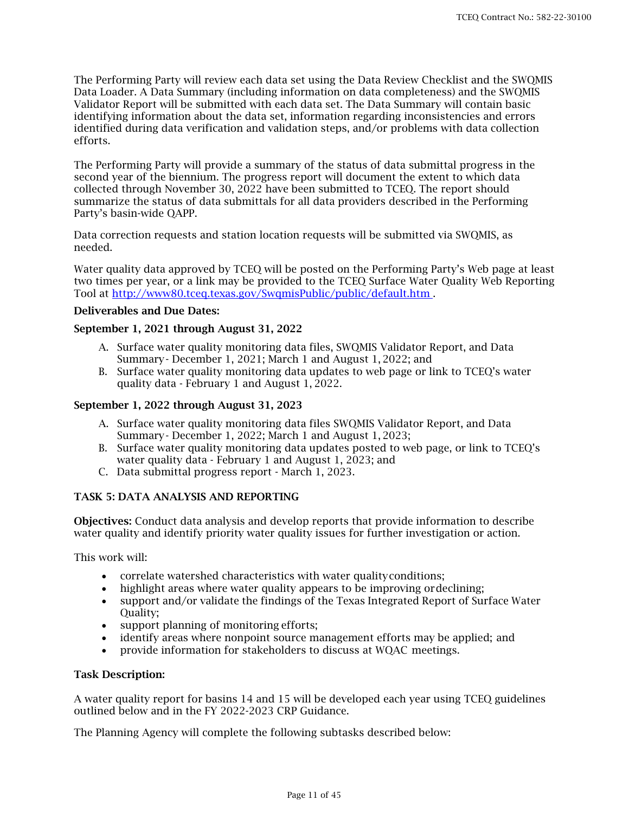The Performing Party will review each data set using the Data Review Checklist and the SWQMIS Data Loader. A Data Summary (including information on data completeness) and the SWQMIS Validator Report will be submitted with each data set. The Data Summary will contain basic identifying information about the data set, information regarding inconsistencies and errors identified during data verification and validation steps, and/or problems with data collection efforts.

The Performing Party will provide a summary of the status of data submittal progress in the second year of the biennium. The progress report will document the extent to which data collected through November 30, 2022 have been submitted to TCEQ. The report should summarize the status of data submittals for all data providers described in the Performing Party's basin-wide QAPP.

Data correction requests and station location requests will be submitted via SWQMIS, as needed.

Water quality data approved by TCEQ will be posted on the Performing Party's Web page at least two times per year, or a link may be provided to the TCEQ Surface Water Quality Web Reporting Tool at<http://www80.tceq.texas.gov/SwqmisPublic/public/default.htm> .

# Deliverables and Due Dates:

### September 1, 2021 through August 31, 2022

- A. Surface water quality monitoring data files, SWQMIS Validator Report, and Data Summary - December 1, 2021; March 1 and August 1, 2022; and
- B. Surface water quality monitoring data updates to web page or link to TCEQ's water quality data - February 1 and August 1, 2022.

### September 1, 2022 through August 31, 2023

- A. Surface water quality monitoring data files SWQMIS Validator Report, and Data Summary - December 1, 2022; March 1 and August 1, 2023;
- B. Surface water quality monitoring data updates posted to web page, or link to TCEQ's water quality data - February 1 and August 1, 2023; and
- C. Data submittal progress report March 1, 2023.

# TASK 5: DATA ANALYSIS AND REPORTING

Objectives: Conduct data analysis and develop reports that provide information to describe water quality and identify priority water quality issues for further investigation or action.

This work will:

- correlate watershed characteristics with water qualityconditions;
- highlight areas where water quality appears to be improving ordeclining;
- support and/or validate the findings of the Texas Integrated Report of Surface Water Quality;
- support planning of monitoring efforts;
- identify areas where nonpoint source management efforts may be applied; and
- provide information for stakeholders to discuss at WQAC meetings.

#### Task Description:

A water quality report for basins 14 and 15 will be developed each year using TCEQ guidelines outlined below and in the FY 2022-2023 CRP Guidance.

The Planning Agency will complete the following subtasks described below: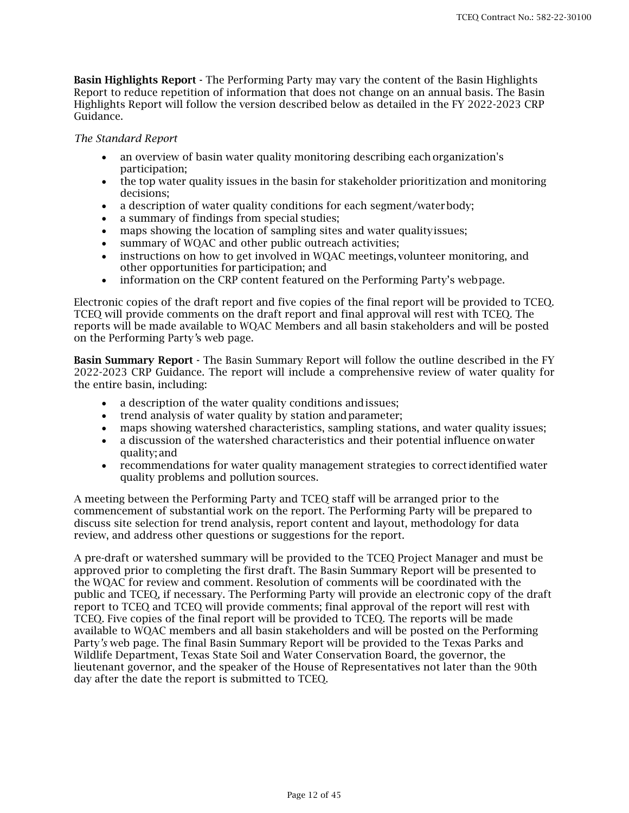Basin Highlights Report - The Performing Party may vary the content of the Basin Highlights Report to reduce repetition of information that does not change on an annual basis. The Basin Highlights Report will follow the version described below as detailed in the FY 2022-2023 CRP Guidance.

#### *The Standard Report*

- an overview of basin water quality monitoring describing each organization's participation;
- the top water quality issues in the basin for stakeholder prioritization and monitoring decisions;
- a description of water quality conditions for each segment/water body;
- a summary of findings from special studies;
- maps showing the location of sampling sites and water qualityissues;
- summary of WQAC and other public outreach activities;
- instructions on how to get involved in WQAC meetings, volunteer monitoring, and other opportunities for participation; and
- information on the CRP content featured on the Performing Party's webpage.

Electronic copies of the draft report and five copies of the final report will be provided to TCEQ. TCEQ will provide comments on the draft report and final approval will rest with TCEQ. The reports will be made available to WQAC Members and all basin stakeholders and will be posted on the Performing Party*'*s web page.

Basin Summary Report - The Basin Summary Report will follow the outline described in the FY 2022-2023 CRP Guidance. The report will include a comprehensive review of water quality for the entire basin, including:

- a description of the water quality conditions andissues;
- trend analysis of water quality by station and parameter;
- maps showing watershed characteristics, sampling stations, and water quality issues;
- a discussion of the watershed characteristics and their potential influence on water quality; and
- recommendations for water quality management strategies to correctidentified water quality problems and pollution sources.

A meeting between the Performing Party and TCEQ staff will be arranged prior to the commencement of substantial work on the report. The Performing Party will be prepared to discuss site selection for trend analysis, report content and layout, methodology for data review, and address other questions or suggestions for the report.

A pre-draft or watershed summary will be provided to the TCEQ Project Manager and must be approved prior to completing the first draft. The Basin Summary Report will be presented to the WQAC for review and comment. Resolution of comments will be coordinated with the public and TCEQ, if necessary. The Performing Party will provide an electronic copy of the draft report to TCEQ and TCEQ will provide comments; final approval of the report will rest with TCEQ. Five copies of the final report will be provided to TCEQ. The reports will be made available to WQAC members and all basin stakeholders and will be posted on the Performing Party*'s* web page. The final Basin Summary Report will be provided to the Texas Parks and Wildlife Department, Texas State Soil and Water Conservation Board, the governor, the lieutenant governor, and the speaker of the House of Representatives not later than the 90th day after the date the report is submitted to TCEQ.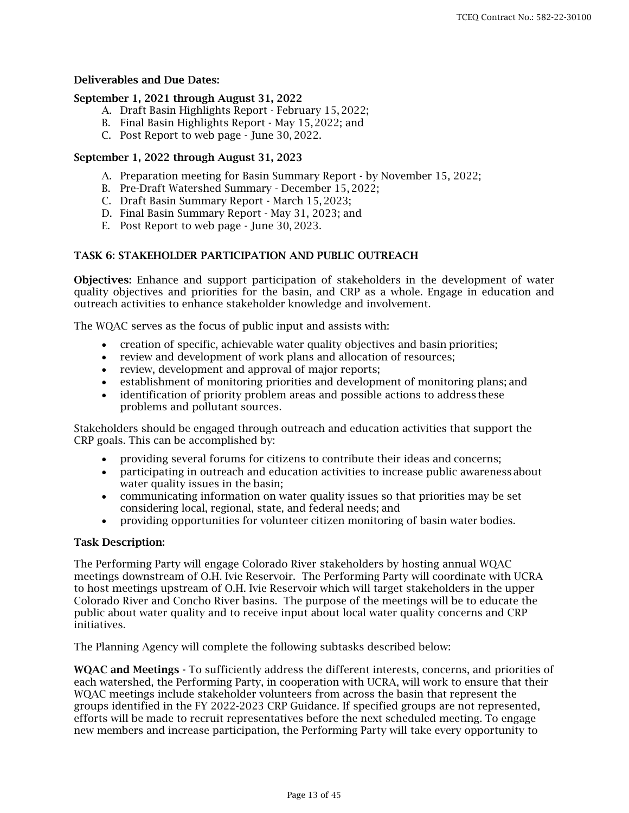## Deliverables and Due Dates:

### September 1, 2021 through August 31, 2022

- A. Draft Basin Highlights Report February 15, 2022;
- B. Final Basin Highlights Report May 15,2022; and
- C. Post Report to web page June 30, 2022.

# September 1, 2022 through August 31, 2023

- A. Preparation meeting for Basin Summary Report by November 15, 2022;
- B. Pre-Draft Watershed Summary December 15, 2022;
- C. Draft Basin Summary Report March 15, 2023;
- D. Final Basin Summary Report May 31, 2023; and
- E. Post Report to web page June 30, 2023.

### TASK 6: STAKEHOLDER PARTICIPATION AND PUBLIC OUTREACH

Objectives: Enhance and support participation of stakeholders in the development of water quality objectives and priorities for the basin, and CRP as a whole. Engage in education and outreach activities to enhance stakeholder knowledge and involvement.

The WQAC serves as the focus of public input and assists with:

- creation of specific, achievable water quality objectives and basin priorities;
- review and development of work plans and allocation of resources;
- review, development and approval of major reports;
- establishment of monitoring priorities and development of monitoring plans; and
- identification of priority problem areas and possible actions to address these problems and pollutant sources.

Stakeholders should be engaged through outreach and education activities that support the CRP goals. This can be accomplished by:

- providing several forums for citizens to contribute their ideas and concerns;
- participating in outreach and education activities to increase public awareness about water quality issues in the basin;
- communicating information on water quality issues so that priorities may be set considering local, regional, state, and federal needs; and
- providing opportunities for volunteer citizen monitoring of basin water bodies.

#### Task Description:

The Performing Party will engage Colorado River stakeholders by hosting annual WQAC meetings downstream of O.H. Ivie Reservoir. The Performing Party will coordinate with UCRA to host meetings upstream of O.H. Ivie Reservoir which will target stakeholders in the upper Colorado River and Concho River basins. The purpose of the meetings will be to educate the public about water quality and to receive input about local water quality concerns and CRP initiatives.

The Planning Agency will complete the following subtasks described below:

WQAC and Meetings - To sufficiently address the different interests, concerns, and priorities of each watershed, the Performing Party, in cooperation with UCRA, will work to ensure that their WQAC meetings include stakeholder volunteers from across the basin that represent the groups identified in the FY 2022-2023 CRP Guidance. If specified groups are not represented, efforts will be made to recruit representatives before the next scheduled meeting. To engage new members and increase participation, the Performing Party will take every opportunity to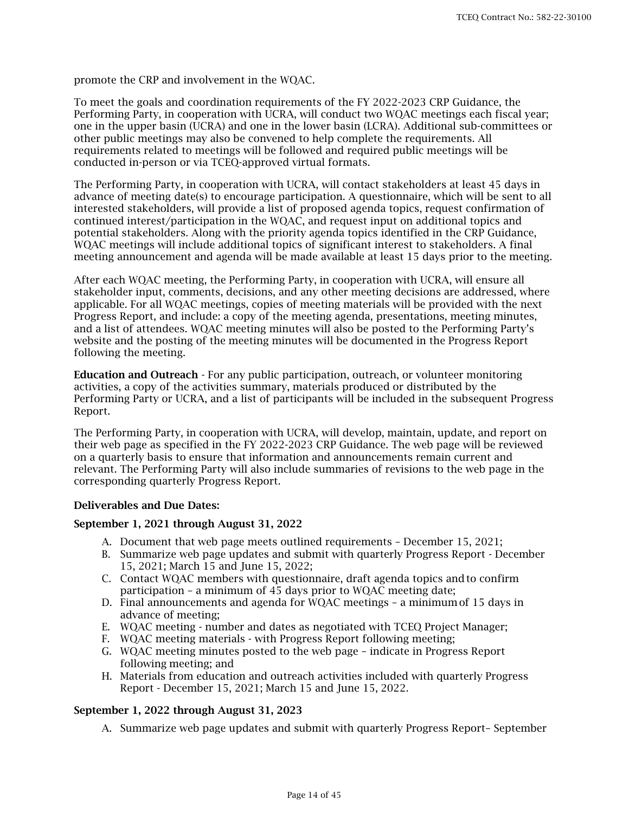promote the CRP and involvement in the WQAC.

To meet the goals and coordination requirements of the FY 2022-2023 CRP Guidance, the Performing Party, in cooperation with UCRA, will conduct two WQAC meetings each fiscal year; one in the upper basin (UCRA) and one in the lower basin (LCRA). Additional sub-committees or other public meetings may also be convened to help complete the requirements. All requirements related to meetings will be followed and required public meetings will be conducted in-person or via TCEQ-approved virtual formats.

The Performing Party, in cooperation with UCRA, will contact stakeholders at least 45 days in advance of meeting date(s) to encourage participation. A questionnaire, which will be sent to all interested stakeholders, will provide a list of proposed agenda topics, request confirmation of continued interest/participation in the WQAC, and request input on additional topics and potential stakeholders. Along with the priority agenda topics identified in the CRP Guidance, WQAC meetings will include additional topics of significant interest to stakeholders. A final meeting announcement and agenda will be made available at least 15 days prior to the meeting.

After each WQAC meeting, the Performing Party, in cooperation with UCRA, will ensure all stakeholder input, comments, decisions, and any other meeting decisions are addressed, where applicable. For all WQAC meetings, copies of meeting materials will be provided with the next Progress Report, and include: a copy of the meeting agenda, presentations, meeting minutes, and a list of attendees. WQAC meeting minutes will also be posted to the Performing Party's website and the posting of the meeting minutes will be documented in the Progress Report following the meeting.

Education and Outreach - For any public participation, outreach, or volunteer monitoring activities, a copy of the activities summary, materials produced or distributed by the Performing Party or UCRA, and a list of participants will be included in the subsequent Progress Report.

The Performing Party, in cooperation with UCRA, will develop, maintain, update, and report on their web page as specified in the FY 2022-2023 CRP Guidance. The web page will be reviewed on a quarterly basis to ensure that information and announcements remain current and relevant. The Performing Party will also include summaries of revisions to the web page in the corresponding quarterly Progress Report.

### Deliverables and Due Dates:

#### September 1, 2021 through August 31, 2022

- A. Document that web page meets outlined requirements December 15, 2021;
- B. Summarize web page updates and submit with quarterly Progress Report December 15, 2021; March 15 and June 15, 2022;
- C. Contact WQAC members with questionnaire, draft agenda topics andto confirm participation – a minimum of 45 days prior to WQAC meeting date;
- D. Final announcements and agenda for WQAC meetings a minimumof 15 days in advance of meeting;
- E. WQAC meeting number and dates as negotiated with TCEQ Project Manager;
- F. WQAC meeting materials with Progress Report following meeting;
- G. WQAC meeting minutes posted to the web page indicate in Progress Report following meeting; and
- H. Materials from education and outreach activities included with quarterly Progress Report - December 15, 2021; March 15 and June 15, 2022.

#### September 1, 2022 through August 31, 2023

A. Summarize web page updates and submit with quarterly Progress Report– September